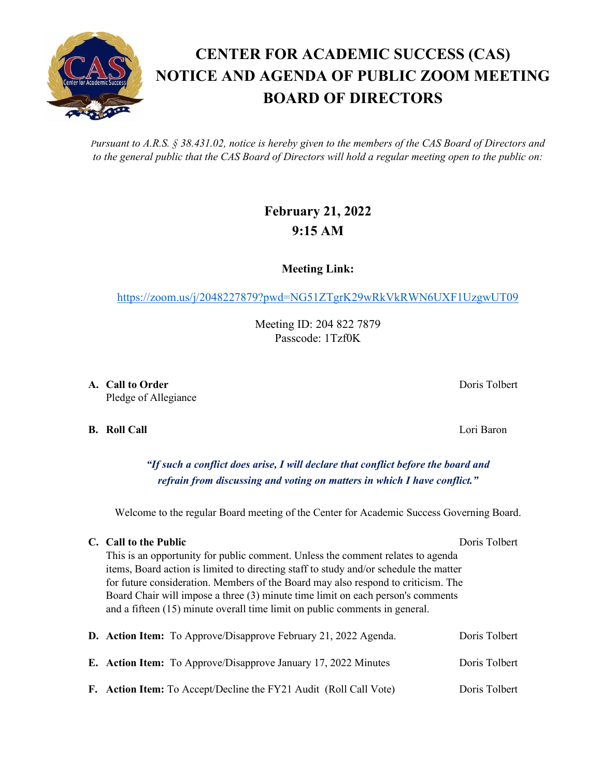*Pursuant to A.R.S. § 38.431.02, notice is hereby given to the members of the CAS Board of Directors and to the general public that the CAS Board of Directors will hold a regular meeting open to the public on:*

## **February 21, 2022 9:15 AM**

**Meeting Link:**

<https://zoom.us/j/2048227879?pwd=NG51ZTgrK29wRkVkRWN6UXF1UzgwUT09>

Meeting ID: 204 822 7879 Passcode: 1Tzf0K

**A. Call to Order** Doris Tolbert **Doris Tolbert** Pledge of Allegiance

**B. Roll Call** Lori Baron

*"If such a conflict does arise, I will declare that conflict before the board and refrain from discussing and voting on matters in which I have conflict."*

Welcome to the regular Board meeting of the Center for Academic Success Governing Board.

## **C. Call to the Public** Doris Tolbert Doris Tolbert

This is an opportunity for public comment. Unless the comment relates to agenda items, Board action is limited to directing staff to study and/or schedule the matter for future consideration. Members of the Board may also respond to criticism. The Board Chair will impose a three (3) minute time limit on each person's comments and a fifteen (15) minute overall time limit on public comments in general.

|  | <b>D.</b> Action Item: To Approve/Disapprove February 21, 2022 Agenda. | Doris Tolbert |
|--|------------------------------------------------------------------------|---------------|
|  | <b>E.</b> Action Item: To Approve/Disapprove January 17, 2022 Minutes  | Doris Tolbert |
|  | F. Action Item: To Accept/Decline the FY21 Audit (Roll Call Vote)      | Doris Tolbert |

## **CENTER FOR ACADEMIC SUCCESS (CAS) NOTICE AND AGENDA OF PUBLIC ZOOM MEETING BOARD OF DIRECTORS**